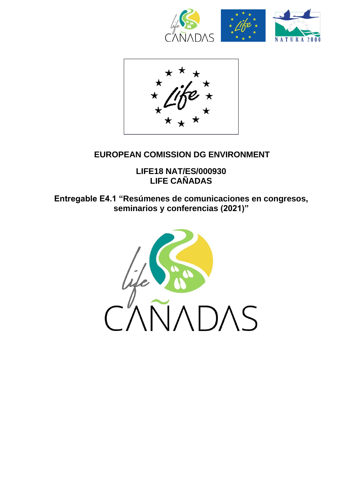



## **EUROPEAN COMISSION DG ENVIRONMENT**

**LIFE18 NAT/ES/000930 LIFE CAÑADAS**

**Entregable E4.1 "Resúmenes de comunicaciones en congresos, seminarios y conferencias (2021)"**

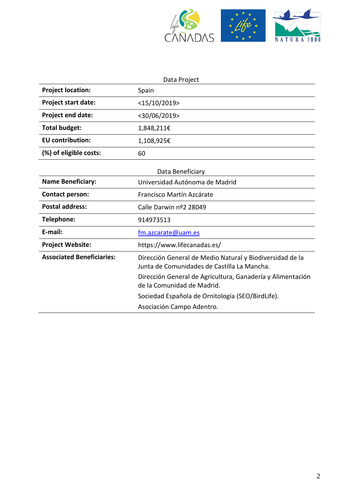

| Data Project                     |                                                                                                         |  |
|----------------------------------|---------------------------------------------------------------------------------------------------------|--|
| <b>Project location:</b>         | Spain                                                                                                   |  |
| <b>Project start date:</b>       | <15/10/2019>                                                                                            |  |
| <b>Project end date:</b>         | <30/06/2019>                                                                                            |  |
| <b>Total budget:</b>             | 1,848,211€                                                                                              |  |
| <b>EU</b> contribution:          | 1,108,925€                                                                                              |  |
| (%) of eligible costs:           | 60                                                                                                      |  |
| Data Beneficiary                 |                                                                                                         |  |
| <b>Name Beneficiary:</b>         | Universidad Autónoma de Madrid                                                                          |  |
| <b>Contact person:</b>           | Francisco Martín Azcárate                                                                               |  |
| <b>Postal address:</b>           | Calle Darwin nº2 28049                                                                                  |  |
| Telephone:                       | 914973513                                                                                               |  |
| E-mail:                          | fm.azcarate@uam.es                                                                                      |  |
| <b>Project Website:</b>          | https://www.lifecanadas.es/                                                                             |  |
| <b>Associated Beneficiaries:</b> | Dirección General de Medio Natural y Biodiversidad de la<br>Junta de Comunidades de Castilla La Mancha. |  |
|                                  | Dirección General de Agricultura, Ganadería y Alimentación<br>de la Comunidad de Madrid.                |  |
|                                  | Sociedad Española de Ornitología (SEO/BirdLife).                                                        |  |
|                                  | Asociación Campo Adentro.                                                                               |  |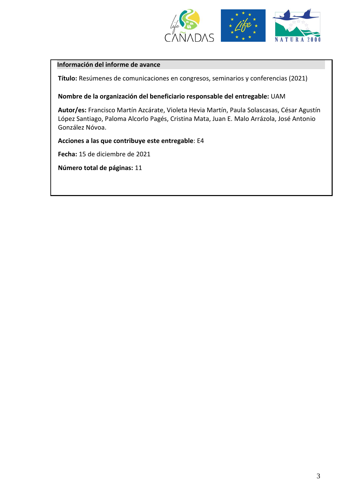

#### **Información del informe de avance**

**Título:** Resúmenes de comunicaciones en congresos, seminarios y conferencias (2021)

**Nombre de la organización del beneficiario responsable del entregable:** UAM

**Autor/es:** Francisco Martín Azcárate, Violeta Hevia Martín, Paula Solascasas, César Agustín López Santiago, Paloma Alcorlo Pagés, Cristina Mata, Juan E. Malo Arrázola, José Antonio González Nóvoa.

**Acciones a las que contribuye este entregable**: E4

**Fecha:** 15 de diciembre de 2021

**Número total de páginas:** 11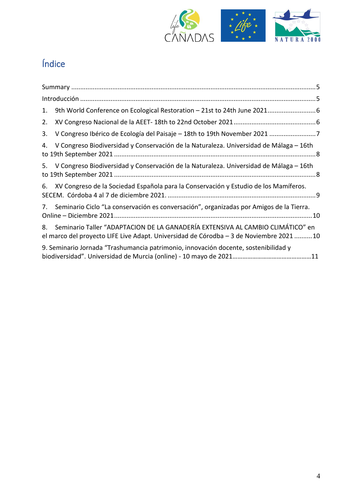

# Índice

| 1. |                                                                                                                                                                          |  |
|----|--------------------------------------------------------------------------------------------------------------------------------------------------------------------------|--|
| 2. |                                                                                                                                                                          |  |
| 3. |                                                                                                                                                                          |  |
| 4. | V Congreso Biodiversidad y Conservación de la Naturaleza. Universidad de Málaga - 16th                                                                                   |  |
|    | 5. V Congreso Biodiversidad y Conservación de la Naturaleza. Universidad de Málaga – 16th                                                                                |  |
| 6. | XV Congreso de la Sociedad Española para la Conservación y Estudio de los Mamíferos.                                                                                     |  |
| 7. | Seminario Ciclo "La conservación es conversación", organizadas por Amigos de la Tierra.                                                                                  |  |
| 8. | Seminario Taller "ADAPTACION DE LA GANADERÍA EXTENSIVA AL CAMBIO CLIMÁTICO" en<br>el marco del proyecto LIFE Live Adapt. Universidad de Córodba – 3 de Noviembre 2021 10 |  |
|    | 9. Seminario Jornada "Trashumancia patrimonio, innovación docente, sostenibilidad y                                                                                      |  |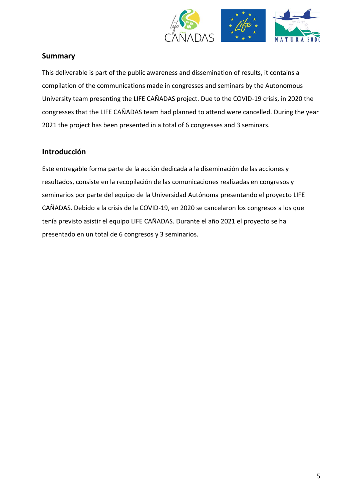

## <span id="page-4-0"></span>**Summary**

This deliverable is part of the public awareness and dissemination of results, it contains a compilation of the communications made in congresses and seminars by the Autonomous University team presenting the LIFE CAÑADAS project. Due to the COVID-19 crisis, in 2020 the congresses that the LIFE CAÑADAS team had planned to attend were cancelled. During the year 2021 the project has been presented in a total of 6 congresses and 3 seminars.

## **Introducción**

Este entregable forma parte de la acción dedicada a la diseminación de las acciones y resultados, consiste en la recopilación de las comunicaciones realizadas en congresos y seminarios por parte del equipo de la Universidad Autónoma presentando el proyecto LIFE CAÑADAS. Debido a la crisis de la COVID-19, en 2020 se cancelaron los congresos a los que tenía previsto asistir el equipo LIFE CAÑADAS. Durante el año 2021 el proyecto se ha presentado en un total de 6 congresos y 3 seminarios.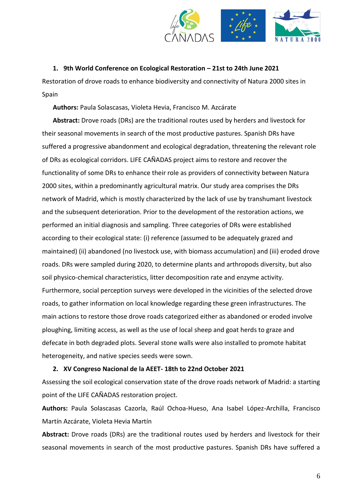

#### <span id="page-5-0"></span>**1. 9th World Conference on Ecological Restoration – 21st to 24th June 2021**

Restoration of drove roads to enhance biodiversity and connectivity of Natura 2000 sites in Spain

**Authors:** Paula Solascasas, Violeta Hevia, Francisco M. Azcárate

**Abstract:** Drove roads (DRs) are the traditional routes used by herders and livestock for their seasonal movements in search of the most productive pastures. Spanish DRs have suffered a progressive abandonment and ecological degradation, threatening the relevant role of DRs as ecological corridors. LIFE CAÑADAS project aims to restore and recover the functionality of some DRs to enhance their role as providers of connectivity between Natura 2000 sites, within a predominantly agricultural matrix. Our study area comprises the DRs network of Madrid, which is mostly characterized by the lack of use by transhumant livestock and the subsequent deterioration. Prior to the development of the restoration actions, we performed an initial diagnosis and sampling. Three categories of DRs were established according to their ecological state: (i) reference (assumed to be adequately grazed and maintained) (ii) abandoned (no livestock use, with biomass accumulation) and (iii) eroded drove roads. DRs were sampled during 2020, to determine plants and arthropods diversity, but also soil physico-chemical characteristics, litter decomposition rate and enzyme activity. Furthermore, social perception surveys were developed in the vicinities of the selected drove roads, to gather information on local knowledge regarding these green infrastructures. The main actions to restore those drove roads categorized either as abandoned or eroded involve ploughing, limiting access, as well as the use of local sheep and goat herds to graze and defecate in both degraded plots. Several stone walls were also installed to promote habitat heterogeneity, and native species seeds were sown.

#### <span id="page-5-1"></span>**2. XV Congreso Nacional de la AEET- 18th to 22nd October 2021**

Assessing the soil ecological conservation state of the drove roads network of Madrid: a starting point of the LIFE CAÑADAS restoration project.

**Authors:** Paula Solascasas Cazorla, Raúl Ochoa-Hueso, Ana Isabel López-Archilla, Francisco Martín Azcárate, Violeta Hevia Martín

**Abstract:** Drove roads (DRs) are the traditional routes used by herders and livestock for their seasonal movements in search of the most productive pastures. Spanish DRs have suffered a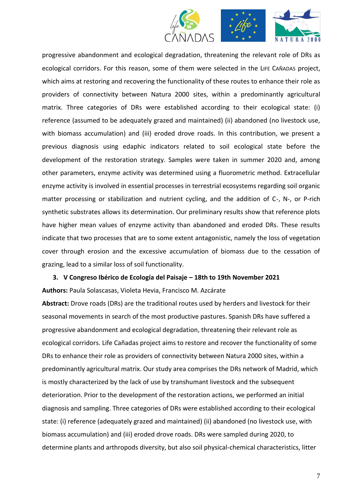



progressive abandonment and ecological degradation, threatening the relevant role of DRs as ecological corridors. For this reason, some of them were selected in the LIFE CAÑADAS project, which aims at restoring and recovering the functionality of these routes to enhance their role as providers of connectivity between Natura 2000 sites, within a predominantly agricultural matrix. Three categories of DRs were established according to their ecological state: (i) reference (assumed to be adequately grazed and maintained) (ii) abandoned (no livestock use, with biomass accumulation) and (iii) eroded drove roads. In this contribution, we present a previous diagnosis using edaphic indicators related to soil ecological state before the development of the restoration strategy. Samples were taken in summer 2020 and, among other parameters, enzyme activity was determined using a fluorometric method. Extracellular enzyme activity is involved in essential processes in terrestrial ecosystems regarding soil organic matter processing or stabilization and nutrient cycling, and the addition of C-, N-, or P-rich synthetic substrates allows its determination. Our preliminary results show that reference plots have higher mean values of enzyme activity than abandoned and eroded DRs. These results indicate that two processes that are to some extent antagonistic, namely the loss of vegetation cover through erosion and the excessive accumulation of biomass due to the cessation of grazing, lead to a similar loss of soil functionality.

<span id="page-6-0"></span>**3. V Congreso Ibérico de Ecología del Paisaje – 18th to 19th November 2021 Authors:** Paula Solascasas, Violeta Hevia, Francisco M. Azcárate

**Abstract:** Drove roads (DRs) are the traditional routes used by herders and livestock for their seasonal movements in search of the most productive pastures. Spanish DRs have suffered a progressive abandonment and ecological degradation, threatening their relevant role as ecological corridors. Life Cañadas project aims to restore and recover the functionality of some DRs to enhance their role as providers of connectivity between Natura 2000 sites, within a predominantly agricultural matrix. Our study area comprises the DRs network of Madrid, which is mostly characterized by the lack of use by transhumant livestock and the subsequent deterioration. Prior to the development of the restoration actions, we performed an initial diagnosis and sampling. Three categories of DRs were established according to their ecological state: (i) reference (adequately grazed and maintained) (ii) abandoned (no livestock use, with biomass accumulation) and (iii) eroded drove roads. DRs were sampled during 2020, to determine plants and arthropods diversity, but also soil physical-chemical characteristics, litter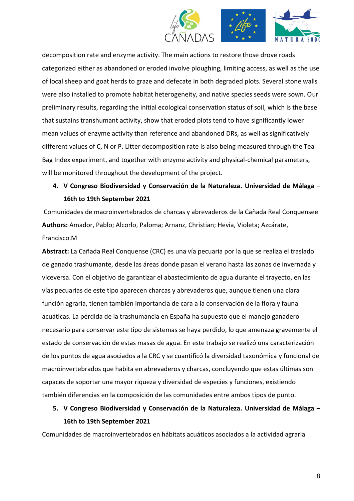

decomposition rate and enzyme activity. The main actions to restore those drove roads categorized either as abandoned or eroded involve ploughing, limiting access, as well as the use of local sheep and goat herds to graze and defecate in both degraded plots. Several stone walls were also installed to promote habitat heterogeneity, and native species seeds were sown. Our preliminary results, regarding the initial ecological conservation status of soil, which is the base that sustains transhumant activity, show that eroded plots tend to have significantly lower mean values of enzyme activity than reference and abandoned DRs, as well as significatively different values of C, N or P. Litter decomposition rate is also being measured through the Tea Bag Index experiment, and together with enzyme activity and physical-chemical parameters, will be monitored throughout the development of the project.

## <span id="page-7-0"></span>**4. V Congreso Biodiversidad y Conservación de la Naturaleza. Universidad de Málaga – 16th to 19th September 2021**

Comunidades de macroinvertebrados de charcas y abrevaderos de la Cañada Real Conquensee **Authors:** Amador, Pablo; Alcorlo, Paloma; Arnanz, Christian; Hevia, Violeta; Azcárate, Francisco.M

**Abstract:** La Cañada Real Conquense (CRC) es una vía pecuaria por la que se realiza el traslado de ganado trashumante, desde las áreas donde pasan el verano hasta las zonas de invernada y viceversa. Con el objetivo de garantizar el abastecimiento de agua durante el trayecto, en las vías pecuarias de este tipo aparecen charcas y abrevaderos que, aunque tienen una clara función agraria, tienen también importancia de cara a la conservación de la flora y fauna acuáticas. La pérdida de la trashumancia en España ha supuesto que el manejo ganadero necesario para conservar este tipo de sistemas se haya perdido, lo que amenaza gravemente el estado de conservación de estas masas de agua. En este trabajo se realizó una caracterización de los puntos de agua asociados a la CRC y se cuantificó la diversidad taxonómica y funcional de macroinvertebrados que habita en abrevaderos y charcas, concluyendo que estas últimas son capaces de soportar una mayor riqueza y diversidad de especies y funciones, existiendo también diferencias en la composición de las comunidades entre ambos tipos de punto.

## <span id="page-7-1"></span>**5. V Congreso Biodiversidad y Conservación de la Naturaleza. Universidad de Málaga – 16th to 19th September 2021**

Comunidades de macroinvertebrados en hábitats acuáticos asociados a la actividad agraria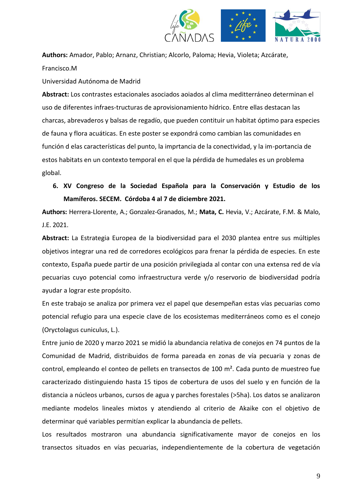

**Authors:** Amador, Pablo; Arnanz, Christian; Alcorlo, Paloma; Hevia, Violeta; Azcárate, Francisco.M

Universidad Autónoma de Madrid

**Abstract:** Los contrastes estacionales asociados aoiados al clima meditterráneo determinan el uso de diferentes infraes-tructuras de aprovisionamiento hídrico. Entre ellas destacan las charcas, abrevaderos y balsas de regadío, que pueden contituir un habitat óptimo para especies de fauna y flora acuáticas. En este poster se expondrá como cambian las comunidades en función d elas características del punto, la imprtancia de la conectividad, y la im-portancia de estos habitats en un contexto temporal en el que la pérdida de humedales es un problema global.

<span id="page-8-0"></span>**6. XV Congreso de la Sociedad Española para la Conservación y Estudio de los Mamíferos. SECEM. Córdoba 4 al 7 de diciembre 2021.**

**Authors:** Herrera-Llorente, A.; Gonzalez-Granados, M.; **Mata, C.** Hevia, V.; Azcárate, F.M. & Malo, J.E. 2021.

**Abstract:** La Estrategia Europea de la biodiversidad para el 2030 plantea entre sus múltiples objetivos integrar una red de corredores ecológicos para frenar la pérdida de especies. En este contexto, España puede partir de una posición privilegiada al contar con una extensa red de vía pecuarias cuyo potencial como infraestructura verde y/o reservorio de biodiversidad podría ayudar a lograr este propósito.

En este trabajo se analiza por primera vez el papel que desempeñan estas vías pecuarias como potencial refugio para una especie clave de los ecosistemas mediterráneos como es el conejo (Oryctolagus cuniculus, L.).

Entre junio de 2020 y marzo 2021 se midió la abundancia relativa de conejos en 74 puntos de la Comunidad de Madrid, distribuidos de forma pareada en zonas de vía pecuaria y zonas de control, empleando el conteo de pellets en transectos de 100 m². Cada punto de muestreo fue caracterizado distinguiendo hasta 15 tipos de cobertura de usos del suelo y en función de la distancia a núcleos urbanos, cursos de agua y parches forestales (>5ha). Los datos se analizaron mediante modelos lineales mixtos y atendiendo al criterio de Akaike con el objetivo de determinar qué variables permitían explicar la abundancia de pellets.

Los resultados mostraron una abundancia significativamente mayor de conejos en los transectos situados en vías pecuarias, independientemente de la cobertura de vegetación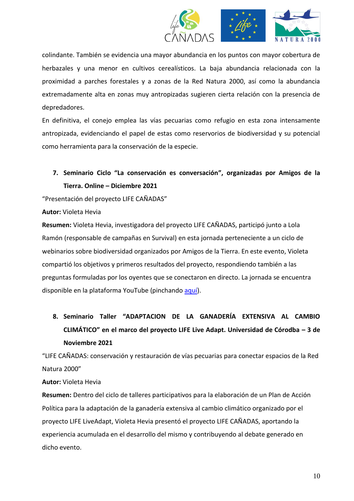

colindante. También se evidencia una mayor abundancia en los puntos con mayor cobertura de herbazales y una menor en cultivos cerealísticos. La baja abundancia relacionada con la proximidad a parches forestales y a zonas de la Red Natura 2000, así como la abundancia extremadamente alta en zonas muy antropizadas sugieren cierta relación con la presencia de depredadores.

En definitiva, el conejo emplea las vías pecuarias como refugio en esta zona intensamente antropizada, evidenciando el papel de estas como reservorios de biodiversidad y su potencial como herramienta para la conservación de la especie.

# <span id="page-9-0"></span>**7. Seminario Ciclo "La conservación es conversación", organizadas por Amigos de la Tierra. Online – Diciembre 2021**

"Presentación del proyecto LIFE CAÑADAS"

#### **Autor:** Violeta Hevia

**Resumen:** Violeta Hevia, investigadora del proyecto LIFE CAÑADAS, participó junto a Lola Ramón (responsable de campañas en Survival) en esta jornada perteneciente a un ciclo de webinarios sobre biodiversidad organizados por Amigos de la Tierra. En este evento, Violeta compartió los objetivos y primeros resultados del proyecto, respondiendo también a las preguntas formuladas por los oyentes que se conectaron en directo. La jornada se encuentra disponible en la plataforma YouTube (pinchando [aquí\)](https://www.youtube.com/watch?v=84FyuFuifcs).

<span id="page-9-1"></span>**8. Seminario Taller "ADAPTACION DE LA GANADERÍA EXTENSIVA AL CAMBIO CLIMÁTICO" en el marco del proyecto LIFE Live Adapt. Universidad de Córodba – 3 de Noviembre 2021**

"LIFE CAÑADAS: conservación y restauración de vías pecuarias para conectar espacios de la Red Natura 2000"

#### **Autor:** Violeta Hevia

**Resumen:** Dentro del ciclo de talleres participativos para la elaboración de un Plan de Acción Política para la adaptación de la ganadería extensiva al cambio climático organizado por el proyecto LIFE LiveAdapt, Violeta Hevia presentó el proyecto LIFE CAÑADAS, aportando la experiencia acumulada en el desarrollo del mismo y contribuyendo al debate generado en dicho evento.